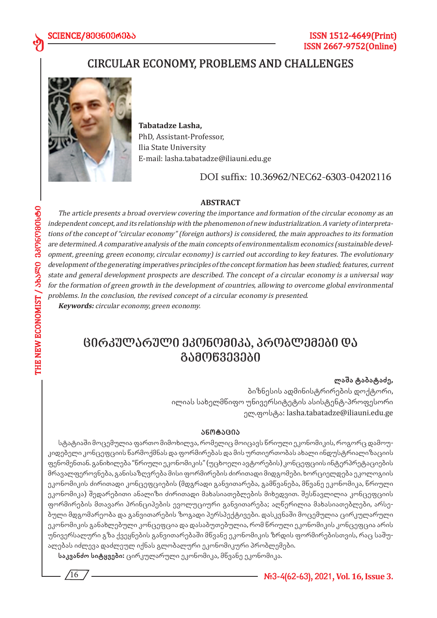# CIRCULAR ECONOMY, PROBLEMS AND CHALLENGES



**Tabatadze Lasha,**  PhD, Assistant-Professor, Ilia State University E-mail: lasha.tabatadze@iliauni.edu.ge

DOI suffix: 10.36962/NEC62-6303-04202116

### **ABSTRACT**

The article presents a broad overview covering the importance and formation of the circular economy as an independent concept, and its relationship with the phenomenon of new industrialization. A variety of interpretations of the concept of "circular economy" (foreign authors) is considered, the main approaches to its formation are determined. A comparative analysis of the main concepts of environmentalism economics (sustainable development, greening, green economy, circular economy) is carried out according to key features. The evolutionary development of the generating imperatives principles of the concept formation has been studied; features, current state and general development prospects are described. The concept of a circular economy is a universal way for the formation of green growth in the development of countries, allowing to overcome global environmental problems. In the conclusion, the revised concept of a circular economy is presented.

**Keywords:** circular economy, green economy.

# *ცირკულარული ეკონომიკა, პრობლემები და გამოწვევები*

## **ლაშა ტაბატაძე,**

ბიზნესის ადმინისტრირების დოქტორი, ილიას სახელმწიფო უნივერსიტეტის ასისტენტ-პროფესორი ელ.ფოსტა: lasha.tabatadze@iliauni.edu.ge

#### **ანო ტა ცია**

სტატიაში მოცემულია ფართო მიმოხილვა, რომელიც მოიცავს წრიული ეკონომიკის, როგორც დამოუკიდებელი კონცეფციის წარმოქმნას და ფორმირებას და მის ურთიერთობას ახალი ინდუსტრიალიზაციის ფენომენთან. განიხილება "წრიული ეკონომიკის" (უცხოელი ავტორების) კონცეფციის ინტერპრეტაციების მრავალფეროვნება, განისაზღვრება მისი ფორმირების ძირითადი მიდგომები. ხორციელდება ეკოლოგიის ეკონომიკის ძირითადი კონცეფციების (მდგრადი განვითარება, გამწვანება, მწვანე ეკონომიკა, წრიული ეკონომიკა) შედარებითი ანალიზი ძირითადი მახასიათებლების მიხედვით. შესწავლილია კონცეფციის ფორმირების მთავარი პრინციპების ევოლუციური განვითარება; აღწერილია მახასიათებლები, არსებული მდგომარეობა და განვითარების ზოგადი პერსპექტივები. დასკვნაში მოცემულია ცირკულარული ეკონომიკის განახლებული კონცეფცია და დასაბუთებულია, რომ წრიული ეკონომიკის კონცეფცია არის უნივერსალური გზა ქვეყნების განვითარებაში მწვანე ეკონომიკის ზრდის ფორმირებისთვის, რაც საშუალებას იძლევა დაძლეულ იქნას გლობალური ეკონომიკური პრობლემები.

**საკვანძო სიტყვები:** ცირკულარული ეკონომიკა, მწვანე ეკონომიკა.

**#3-4(62-63), 2021, Vol. 16, Issue 3.**

 $16$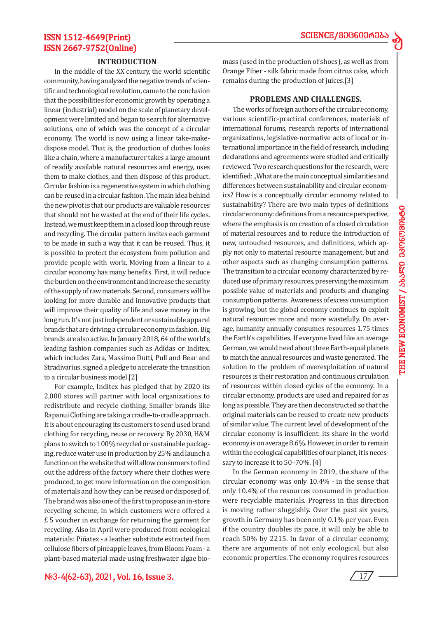d

# ISSN 1512-4649(Print) ISSN 2667-9752(Online)

#### **INTRODUCTION**

In the middle of the XX century, the world scientific community, having analyzed the negative trends of scientific and technological revolution, came to the conclusion that the possibilities for economic growth by operating a linear (industrial) model on the scale of planetary development were limited and began to search for alternative solutions, one of which was the concept of a circular economy. The world is now using a linear take-makedispose model. That is, the production of clothes looks like a chain, where a manufacturer takes a large amount of readily available natural resources and energy, uses them to make clothes, and then dispose of this product. Circular fashion is a regenerative system in which clothing can be reused in a circular fashion. The main idea behind the new pivot is that our products are valuable resources that should not be wasted at the end of their life cycles. Instead, we must keep them in a closed loop through reuse and recycling. The circular pattern invites each garment to be made in such a way that it can be reused. Thus, it is possible to protect the ecosystem from pollution and provide people with work. Moving from a linear to a circular economy has many benefits. First, it will reduce the burden on the environment and increase the security of the supply of raw materials. Second, consumers will be looking for more durable and innovative products that will improve their quality of life and save money in the long run. It's not just independent or sustainable apparel brands that are driving a circular economy in fashion. Big brands are also active. In January 2018, 64 of the world's leading fashion companies such as Adidas or Inditex, which includes Zara, Massimo Dutti, Pull and Bear and Stradivarius, signed a pledge to accelerate the transition to a circular business model.[2]

For example, Inditex has pledged that by 2020 its 2,000 stores will partner with local organizations to redistribute and recycle clothing. Smaller brands like Rapanui Clothing are taking a cradle-to-cradle approach. It is about encouraging its customers to send used brand clothing for recycling, reuse or recovery. By 2030, H&M plans to switch to 100% recycled or sustainable packaging, reduce water use in production by 25% and launch a function on the website that will allow consumers to find out the address of the factory where their clothes were produced, to get more information on the composition of materials and how they can be reused or disposed of. The brand was also one of the first to propose an in-store recycling scheme, in which customers were offered a £ 5 voucher in exchange for returning the garment for recycling. Also in April were produced from ecological materials: Piñatex - a leather substitute extracted from cellulose fibers of pineapple leaves, from Bloom Foam - a plant-based material made using freshwater algae bio-

**#3-4(62-63), 2021, Vol. 16, Issue 3.** 17

mass (used in the production of shoes), as well as from Orange Fiber - silk fabric made from citrus cake, which remains during the production of juices.[3]

#### **PROBLEMS AND CHALLENGES.**

The works of foreign authors of the circular economy, various scientific-practical conferences, materials of international forums, research reports of international organizations, legislative-normative acts of local or international importance in the field of research, including declarations and agreements were studied and critically reviewed. Two research questions for the research, were identified: ,,What are the main conceptual similarities and differences between sustainability and circular economics? How is a conceptually circular economy related to sustainability? There are two main types of definitions circular economy: definitions from a resource perspective, where the emphasis is on creation of a closed circulation of material resources and to reduce the introduction of new, untouched resources, and definitions, which apply not only to material resource management, but and other aspects such as changing consumption patterns. The transition to a circular economy characterized by reduced use of primary resources, preserving the maximum possible value of materials and products and changing consumption patterns. Awareness of excess consumption is growing, but the global economy continues to exploit natural resources more and more wastefully. On average, humanity annually consumes resources 1.75 times the Earth's capabilities. If everyone lived like an average German, we would need about three Earth-equal planets to match the annual resources and waste generated. The solution to the problem of overexploitation of natural resources is their restoration and continuous circulation of resources within closed cycles of the economy. In a circular economy, products are used and repaired for as long as possible. They are then deconstructed so that the original materials can be reused to create new products of similar value. The current level of development of the circular economy is insufficient: its share in the world economy is on average 8.6%. However, in order to remain within the ecological capabilities of our planet, it is necessary to increase it to 50–70%. [4]

In the German economy in 2019, the share of the circular economy was only 10.4% - in the sense that only 10.4% of the resources consumed in production were recyclable materials. Progress in this direction is moving rather sluggishly. Over the past six years, growth in Germany has been only 0.1% per year. Even if the country doubles its pace, it will only be able to reach 50% by 2215. In favor of a circular economy, there are arguments of not only ecological, but also economic properties. The economy requires resources

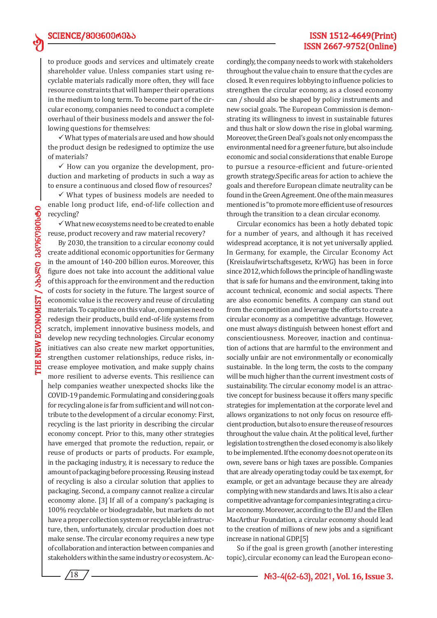# ISSN 1512-4649(Print) ISSN 2667-9752(Online)

to produce goods and services and ultimately create shareholder value. Unless companies start using recyclable materials radically more often, they will face resource constraints that will hamper their operations in the medium to long term. To become part of the circular economy, companies need to conduct a complete overhaul of their business models and answer the following questions for themselves:

 $\checkmark$  What types of materials are used and how should the product design be redesigned to optimize the use of materials?

 $\checkmark$  How can you organize the development, production and marketing of products in such a way as to ensure a continuous and closed flow of resources?

 $\checkmark$  What types of business models are needed to enable long product life, end-of-life collection and recycling?

 $\checkmark$  What new ecosystems need to be created to enable reuse, product recovery and raw material recovery?

By 2030, the transition to a circular economy could create additional economic opportunities for Germany in the amount of 140-200 billion euros. Moreover, this figure does not take into account the additional value of this approach for the environment and the reduction of costs for society in the future. The largest source of economic value is the recovery and reuse of circulating materials. To capitalize on this value, companies need to redesign their products, build end-of-life systems from scratch, implement innovative business models, and develop new recycling technologies. Circular economy initiatives can also create new market opportunities, strengthen customer relationships, reduce risks, increase employee motivation, and make supply chains more resilient to adverse events. This resilience can help companies weather unexpected shocks like the COVID-19 pandemic. Formulating and considering goals for recycling alone is far from sufficient and will not contribute to the development of a circular economy: First, recycling is the last priority in describing the circular economy concept. Prior to this, many other strategies have emerged that promote the reduction, repair, or reuse of products or parts of products. For example, in the packaging industry, it is necessary to reduce the amount of packaging before processing. Reusing instead of recycling is also a circular solution that applies to packaging. Second, a company cannot realize a circular economy alone. [3] If all of a company's packaging is 100% recyclable or biodegradable, but markets do not have a proper collection system or recyclable infrastructure, then, unfortunately, circular production does not make sense. The circular economy requires a new type of collaboration and interaction between companies and stakeholders within the same industry or ecosystem. Ac-

 $18$ 

cordingly, the company needs to work with stakeholders throughout the value chain to ensure that the cycles are closed. It even requires lobbying to influence policies to strengthen the circular economy, as a closed economy can / should also be shaped by policy instruments and new social goals. The European Commission is demonstrating its willingness to invest in sustainable futures and thus halt or slow down the rise in global warming. Moreover, the Green Deal's goals not only encompass the environmental need for a greener future, but also include economic and social considerations that enable Europe to pursue a resource-efficient and future-oriented growth strategy.Specific areas for action to achieve the goals and therefore European climate neutrality can be found in the Green Agreement. One of the main measures mentioned is "to promote more efficient use of resources through the transition to a clean circular economy.

Circular economics has been a hotly debated topic for a number of years, and although it has received widespread acceptance, it is not yet universally applied. In Germany, for example, the Circular Economy Act (Kreislaufwirtschaftsgesetz, KrWG) has been in force since 2012, which follows the principle of handling waste that is safe for humans and the environment, taking into account technical, economic and social aspects. There are also economic benefits. A company can stand out from the competition and leverage the efforts to create a circular economy as a competitive advantage. However, one must always distinguish between honest effort and conscientiousness. Moreover, inaction and continuation of actions that are harmful to the environment and socially unfair are not environmentally or economically sustainable. In the long term, the costs to the company will be much higher than the current investment costs of sustainability. The circular economy model is an attractive concept for business because it offers many specific strategies for implementation at the corporate level and allows organizations to not only focus on resource efficient production, but also to ensure the reuse of resources throughout the value chain. At the political level, further legislation to strengthen the closed economy is also likely to be implemented. If the economy does not operate on its own, severe bans or high taxes are possible. Companies that are already operating today could be tax exempt, for example, or get an advantage because they are already complying with new standards and laws. It is also a clear competitive advantage for companies integrating a circular economy. Moreover, according to the EU and the Ellen MacArthur Foundation, a circular economy should lead to the creation of millions of new jobs and a significant increase in national GDP.[5]

So if the goal is green growth (another interesting topic), circular economy can lead the European econo-

ed